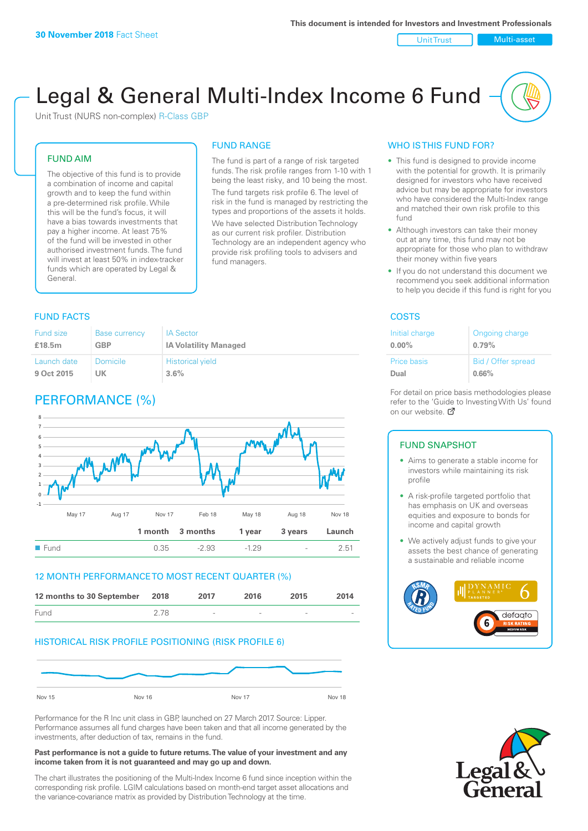#### Unit Trust Nulti-asset

# Legal & General Multi-Index Income 6 Fund

Unit Trust (NURS non-complex) R-Class GBP

## FUND AIM

The objective of this fund is to provide a combination of income and capital growth and to keep the fund within a pre-determined risk profile. While this will be the fund's focus, it will have a bias towards investments that pay a higher income. At least 75% of the fund will be invested in other authorised investment funds. The fund will invest at least 50% in index-tracker funds which are operated by Legal & General.

# FUND RANGE

The fund is part of a range of risk targeted funds. The risk profile ranges from 1-10 with 1 being the least risky, and 10 being the most. The fund targets risk profile 6. The level of risk in the fund is managed by restricting the types and proportions of the assets it holds.

We have selected Distribution Technology as our current risk profiler. Distribution Technology are an independent agency who provide risk profiling tools to advisers and fund managers.

# **FUND FACTS** COSTS

| <b>Fund size</b> | <b>Base currency</b> | <b>IA Sector</b>             |
|------------------|----------------------|------------------------------|
| £18.5m           | <b>GBP</b>           | <b>IA Volatility Managed</b> |
| Launch date      | Domicile             | <b>Historical yield</b>      |
| 9 Oct 2015       | UK                   | 3.6%                         |

# PERFORMANCE (%)



## 12 MONTH PERFORMANCE TO MOST RECENT QUARTER (%)



# HISTORICAL RISK PROFILE POSITIONING (RISK PROFILE 6)



Performance for the R Inc unit class in GBP, launched on 27 March 2017. Source: Lipper. Performance assumes all fund charges have been taken and that all income generated by the investments, after deduction of tax, remains in the fund.

#### **Past performance is not a guide to future returns. The value of your investment and any income taken from it is not guaranteed and may go up and down.**

The chart illustrates the positioning of the Multi-Index Income 6 fund since inception within the corresponding risk profile. LGIM calculations based on month-end target asset allocations and the variance-covariance matrix as provided by Distribution Technology at the time.

# WHO IS THIS FUND FOR?

- This fund is designed to provide income with the potential for growth. It is primarily designed for investors who have received advice but may be appropriate for investors who have considered the Multi-Index range and matched their own risk profile to this fund
- Although investors can take their money out at any time, this fund may not be appropriate for those who plan to withdraw their money within five years
- If you do not understand this document we recommend you seek additional information to help you decide if this fund is right for you

| Initial charge | Ongoing charge     |
|----------------|--------------------|
| $0.00\%$       | 0.79%              |
| Price basis    | Bid / Offer spread |
| Dual           | 0.66%              |

For detail on price basis methodologies please refer to the 'Guide to Investing With Us' found on our website. Ø

# FUND SNAPSHOT

- Aims to generate a stable income for investors while maintaining its risk profile
- A risk-profile targeted portfolio that has emphasis on UK and overseas equities and exposure to bonds for income and capital growth
- We actively adjust funds to give your assets the best chance of generating a sustainable and reliable income



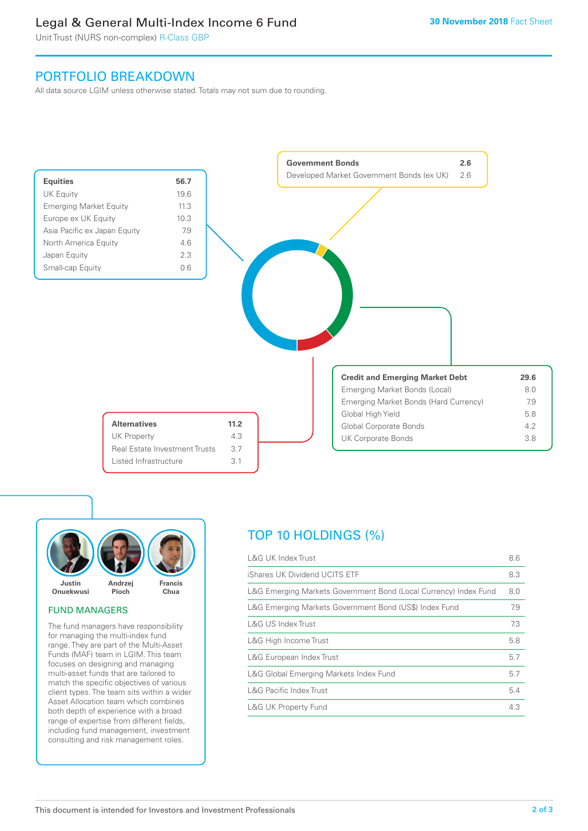# Legal & General Multi-Index Income 6 Fund

Unit Trust (NURS non-complex) R-Class GBP

# PORTFOLIO BREAKDOWN

All data source LGIM unless otherwise stated. Totals may not sum due to rounding.





# FUND MANAGERS

The fund managers have responsibility for managing the multi-index fund range. They are part of the Multi-Asset Funds (MAF) team in LGIM. This team focuses on designing and managing multi-asset funds that are tailored to match the specific objectives of various client types. The team sits within a wider Asset Allocation team which combines both depth of experience with a broad range of expertise from different fields, including fund management, investment consulting and risk management roles.

# TOP 10 HOLDINGS (%)

| <b>L&amp;G UK Index Trust</b>                                    | 8.6 |
|------------------------------------------------------------------|-----|
| iShares UK Dividend UCITS ETF                                    | 8.3 |
| L&G Emerging Markets Government Bond (Local Currency) Index Fund | 8.0 |
| L&G Emerging Markets Government Bond (US\$) Index Fund           | 7.9 |
| L&G US Index Trust                                               | 7.3 |
| L&G High Income Trust                                            | 5.8 |
| L&G European Index Trust                                         | 5.7 |
| L&G Global Emerging Markets Index Fund                           | 5.7 |
| <b>L&amp;G Pacific Index Trust</b>                               | 5.4 |
| <b>L&amp;G UK Property Fund</b>                                  | 4.3 |